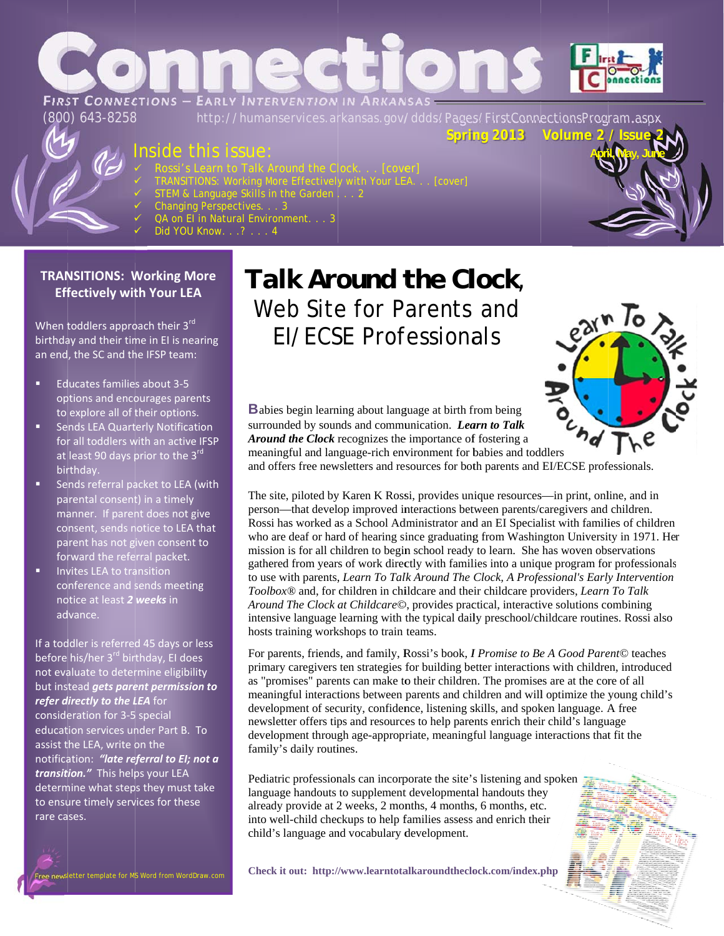

## Inside this issue

- 
- TRANSITIONS: Working More Effectively with Your LEA<br>STEM & Language Skills in the Garden . . . 2<br>Changing Perspectives. . . 3<br>QA on E I in Natural Environment. . . 3
- 
- 
- 
- Did YOU Know. . .? . . . 4

### **TRANSITIONS: Working More Effectively with Your LEA**

When toddlers approach their 3rd birthday and their time in EI is nearing an end, the SC and the IFSP team:

- Educates families about 3-5 options and encourages parents to explore all of their options.
- **Sends LEA Quarterly Notification** for all toddlers with an active IFSP at least 90 days prior to the 3rd birthdav.
- Sends referral packet to LEA (with parental consent) in a timely manner. If parent does not give consent, sends notice to LEA that parent has not given consent to forward the referral packet.
- Invites LEA to transition conference and sends meeting notice at least 2 weeks in advance.

If a toddler is referred 45 days or less before his/her 3<sup>rd</sup> birthday, El does not evaluate to determine eligibility but instead gets parent permission to refer directly to the LEA for consideration for 3-5 special education services under Part B. To assist the LEA, write on the notification: "late referral to EI; not a transition." This helps your LEA determine what steps they must take to ensure timely services for these rare cases.

## Talk Around the Clock, Web Site for Parents and **EI/ECSE Professionals**



**Babies begin learning about language at birth from being** surrounded by sounds and communication. Learn to Talk Around the Clock recognizes the importance of fostering a meaningful and language-rich environment for babies and toddlers

and offers free newsletters and resources for both parents and EI/ECSE professionals.

The site, piloted by Karen K Rossi, provides unique resources—in print, online, and in person—that develop improved interactions between parents/caregivers and children. Rossi has worked as a School Administrator and an EI Specialist with families of children who are deaf or hard of hearing since graduating from Washington University in 1971. Her mission is for all children to begin school ready to learn. She has woven observations gathered from years of work directly with families into a unique program for professionals to use with parents, Learn To Talk Around The Clock, A Professional's Early Intervention Toolbox® and, for children in childcare and their childcare providers, Learn To Talk Around The Clock at Childcare©, provides practical, interactive solutions combining intensive language learning with the typical daily preschool/childcare routines. Rossi also hosts training workshops to train teams.

For parents, friends, and family, Rossi's book, *I Promise to Be A Good Parent*© teaches primary caregivers ten strategies for building better interactions with children, introduced as "promises" parents can make to their children. The promises are at the core of all meaningful interactions between parents and children and will optimize the young child's development of security, confidence, listening skills, and spoken language. A free newsletter offers tips and resources to help parents enrich their child's language development through age-appropriate, meaningful language interactions that fit the family's daily routines.

Pediatric professionals can incorporate the site's listening and spoken language handouts to supplement developmental handouts they already provide at 2 weeks, 2 months, 4 months, 6 months, etc. into well-child checkups to help families assess and enrich their child's language and vocabulary development.

Check it out: http://www.learntotalkaroundtheclock.com/index.php

sletter template for MS Word from WordDraw.con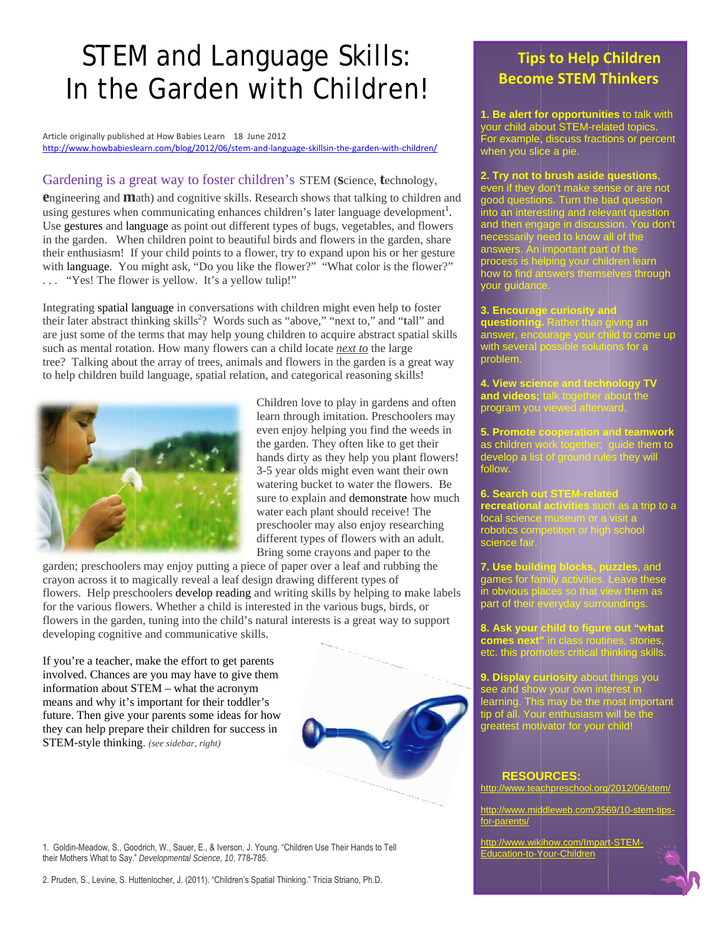# **STEM and Language Skills:** In the Garden with Children!

Article originally published at How Babies Learn 18 June 2012 http://www.howbabieslearn.com/blog/2012/06/stem-and-language-skillsin-the-garden-with-children/

#### Gardening is a great way to foster children's STEM (Science, technology,

**engineering and Math)** and cognitive skills. Research shows that talking to children and using gestures when communicating enhances children's later language development<sup>1</sup>. Use gestures and language as point out different types of bugs, vegetables, and flowers in the garden. When children point to beautiful birds and flowers in the garden, share their enthusiasm! If your child points to a flower, try to expand upon his or her gesture with language. You might ask, "Do you like the flower?" "What color is the flower?" ... "Yes! The flower is yellow. It's a yellow tulip!"

Integrating spatial language in conversations with children might even help to foster their later abstract thinking skills<sup>2</sup>? Words such as "above," "next to," and "tall" and are just some of the terms that may help young children to acquire abstract spatial skills such as mental rotation. How many flowers can a child locate next to the large tree? Talking about the array of trees, animals and flowers in the garden is a great way to help children build language, spatial relation, and categorical reasoning skills!



Children love to play in gardens and often learn through imitation. Preschoolers may even enjoy helping you find the weeds in the garden. They often like to get their hands dirty as they help you plant flowers! 3-5 year olds might even want their own watering bucket to water the flowers. Be sure to explain and demonstrate how much water each plant should receive! The preschooler may also enjoy researching different types of flowers with an adult. Bring some crayons and paper to the

garden; preschoolers may enjoy putting a piece of paper over a leaf and rubbing the crayon across it to magically reveal a leaf design drawing different types of flowers. Help preschoolers develop reading and writing skills by helping to make labels for the various flowers. Whether a child is interested in the various bugs, birds, or flowers in the garden, tuning into the child's natural interests is a great way to support developing cognitive and communicative skills.

If you're a teacher, make the effort to get parents involved. Chances are you may have to give them information about STEM - what the acronym means and why it's important for their toddler's future. Then give your parents some ideas for how they can help prepare their children for success in STEM-style thinking. (see sidebar, right)



2. Pruden, S., Levine, S. Huttenlocher, J. (2011). "Children's Spatial Thinking." Tricia Striano, Ph.D.

## **Tips to Help Children Become STEM Thinkers**

1. Be alert for opportunities to talk with your child about STEM-related topics. For example, discuss fractions or percent when you slice a pie.

2. Try not to brush aside questions,<br>even if they don't make sense or are not<br>good questions. Turn the bad question<br>into an interesting and relevant question<br>and then engage in discussion. You don't<br>necessarily need to kno

3. Encourage curiosity and<br>questioning. Rather than giving an<br>answer, encourage your child to con<br>with several possible solutions for a ne up problem.

**4. View science and technology<br>and videos**; talk together about the<br>program you viewed afterward.

5. Promote cooperation and teamwork<br>as children work together; guide them to<br>develop a list of ground rules they will follow.

6. Search out STEMa trip to a recreational activities local science museum<br>robotics competition or<br>science fair.

**7. Use building blocks, puzzles, and games for family activities. Leave thes in obvious places so that view them as part of their everyday surroundings.** 

8. Ask your child to figure out "what<br>comes next" in class routines, stories,<br>etc. this promotes critical thinking skills.

**9. Display curiosity** about things you<br>see and show your own interest in<br>learning. This may be the most important<br>tip of all. Your enthusiasm will be the<br>greatest motivator for your child!

#### **RESOURCES:**

http://www.teachpreschool.org/2012/06/stem/

http://www.middleweb.com/3569/10-stem-tipsfor-parents/

http://www.wikihow.com/Impart-STEM-Education-to-Your-Children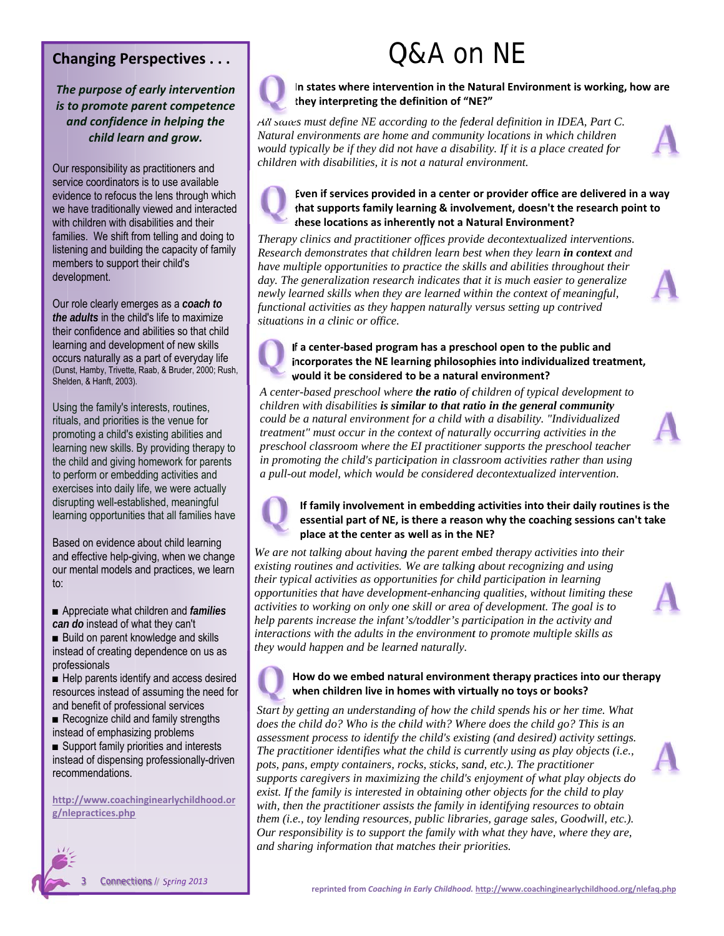### **Changing Perspectives...**

The purpose of early intervention is to promote parent competence and confidence in helping the child learn and grow.

Our responsibility as practitioners and service coordinators is to use available evidence to refocus the lens through which we have traditionally viewed and interacted with children with disabilities and their families. We shift from telling and doing to listening and building the capacity of family members to support their child's development.

Our role clearly emerges as a coach to the adults in the child's life to maximize their confidence and abilities so that child learning and development of new skills occurs naturally as a part of everyday life (Dunst, Hamby, Trivette, Raab, & Bruder, 2000; Rush, Shelden, & Hanft, 2003).

Using the family's interests, routines, rituals, and priorities is the venue for promoting a child's existing abilities and learning new skills. By providing therapy to the child and giving homework for parents to perform or embedding activities and exercises into daily life, we were actually disrupting well-established, meaningful learning opportunities that all families have

Based on evidence about child learning and effective help-giving, when we change our mental models and practices, we learn  $\mathsf{to}$ :

Appreciate what children and *families* can do instead of what they can't

Build on parent knowledge and skills instead of creating dependence on us as professionals

Help parents identify and access desired resources instead of assuming the need for and benefit of professional services

 $\blacksquare$  Recognize child and family strengths instead of emphasizing problems

Support family priorities and interests instead of dispensing professionally-driven recommendations.

http://www.coachinginearlychildhood.or g/nlepractices.php



# $ORA$  on NF



In states where intervention in the Natural Environment is working, how are they interpreting the definition of "NE?"

All states must define NE according to the federal definition in IDEA, Part C. Natural environments are home and community locations in which children would typically be if they did not have a disability. If it is a place created for children with disabilities, it is not a natural environment.



#### Even if services provided in a center or provider office are delivered in a way that supports family learning & involvement, doesn't the research point to these locations as inherently not a Natural Environment?

Therapy clinics and practitioner offices provide decontextualized interventions. Research demonstrates that children learn best when they learn in context and have multiple opportunities to practice the skills and abilities throughout their day. The generalization research indicates that it is much easier to generalize newly learned skills when they are learned within the context of meaningful, functional activities as they happen naturally versus setting up contrived situations in a clinic or office.

#### If a center-based program has a preschool open to the public and incorporates the NE learning philosophies into individualized treatment, would it be considered to be a natural environment?

A center-based preschool where the ratio of children of typical development to children with disabilities is similar to that ratio in the general community could be a natural environment for a child with a disability. "Individualized treatment" must occur in the context of naturally occurring activities in the preschool classroom where the EI practitioner supports the preschool teacher in promoting the child's participation in classroom activities rather than using a pull-out model, which would be considered decontextualized intervention.



#### If family involvement in embedding activities into their daily routines is the essential part of NE, is there a reason why the coaching sessions can't take place at the center as well as in the NE?

We are not talking about having the parent embed therapy activities into their existing routines and activities. We are talking about recognizing and using their typical activities as opportunities for child participation in learning opportunities that have development-enhancing qualities, without limiting these activities to working on only one skill or area of development. The goal is to help parents increase the infant's/toddler's participation in the activity and interactions with the adults in the environment to promote multiple skills as they would happen and be learned naturally.



#### How do we embed natural environment therapy practices into our therapy when children live in homes with virtually no toys or books?

Start by getting an understanding of how the child spends his or her time. What does the child do? Who is the child with? Where does the child go? This is an assessment process to identify the child's existing (and desired) activity settings. The practitioner identifies what the child is currently using as play objects (i.e., pots, pans, empty containers, rocks, sticks, sand, etc.). The practitioner supports caregivers in maximizing the child's enjoyment of what play objects do exist. If the family is interested in obtaining other objects for the child to play with, then the practitioner assists the family in identifying resources to obtain them (i.e., toy lending resources, public libraries, garage sales, Goodwill, etc.). Our responsibility is to support the family with what they have, where they are, and sharing information that matches their priorities.